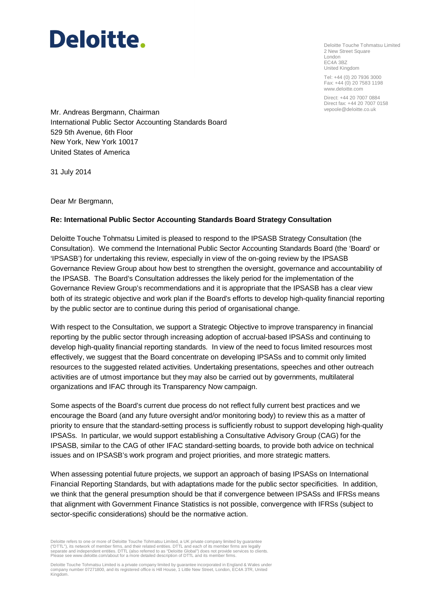Deloitte Touche Tohmatsu Limited 2 New Street Square London EC4A 3BZ United Kingdom

Tel: +44 (0) 20 7936 3000 Fax: +44 (0) 20 7583 1198 www.deloitte.com

Direct: +44 20 7007 0884 Direct fax: +44 20 7007 0158

Mr. Andreas Bergmann, Chairman International Public Sector Accounting Standards Board 529 5th Avenue, 6th Floor New York, New York 10017 United States of America

31 July 2014

Dear Mr Bergmann,

### **Re: International Public Sector Accounting Standards Board Strategy Consultation**

Deloitte Touche Tohmatsu Limited is pleased to respond to the IPSASB Strategy Consultation (the Consultation). We commend the International Public Sector Accounting Standards Board (the 'Board' or 'IPSASB') for undertaking this review, especially in view of the on-going review by the IPSASB Governance Review Group about how best to strengthen the oversight, governance and accountability of the IPSASB. The Board's Consultation addresses the likely period for the implementation of the Governance Review Group's recommendations and it is appropriate that the IPSASB has a clear view both of its strategic objective and work plan if the Board's efforts to develop high-quality financial reporting by the public sector are to continue during this period of organisational change.

With respect to the Consultation, we support a Strategic Objective to improve transparency in financial reporting by the public sector through increasing adoption of accrual-based IPSASs and continuing to develop high-quality financial reporting standards. In view of the need to focus limited resources most effectively, we suggest that the Board concentrate on developing IPSASs and to commit only limited resources to the suggested related activities. Undertaking presentations, speeches and other outreach activities are of utmost importance but they may also be carried out by governments, multilateral organizations and IFAC through its Transparency Now campaign.

Some aspects of the Board's current due process do not reflect fully current best practices and we encourage the Board (and any future oversight and/or monitoring body) to review this as a matter of priority to ensure that the standard-setting process is sufficiently robust to support developing high-quality IPSASs. In particular, we would support establishing a Consultative Advisory Group (CAG) for the IPSASB, similar to the CAG of other IFAC standard-setting boards, to provide both advice on technical issues and on IPSASB's work program and project priorities, and more strategic matters.

When assessing potential future projects, we support an approach of basing IPSASs on International Financial Reporting Standards, but with adaptations made for the public sector specificities. In addition, we think that the general presumption should be that if convergence between IPSASs and IFRSs means that alignment with Government Finance Statistics is not possible, convergence with IFRSs (subject to sector-specific considerations) should be the normative action.

Deloitte refers to one or more of Deloitte Touche Tohmatsu Limited, a UK private company limited by guarantee ("DTTL"), its network of member firms, and their related entities. DTTL and each of its member firms are legally<br>separate and independent entities. DTTL (also referred to as "Deloitte Global") does not provide services to Please see www.deloitte.com/about for a more detailed description of DTTL and its member firms.

Deloitte Touche Tohmatsu Limited is a private company limited by guarantee incorporated in England & Wales under<br>company number 07271800, and its registered office is Hill House, 1 Little New Street, London, EC4A 3TR, Unit Kingdom.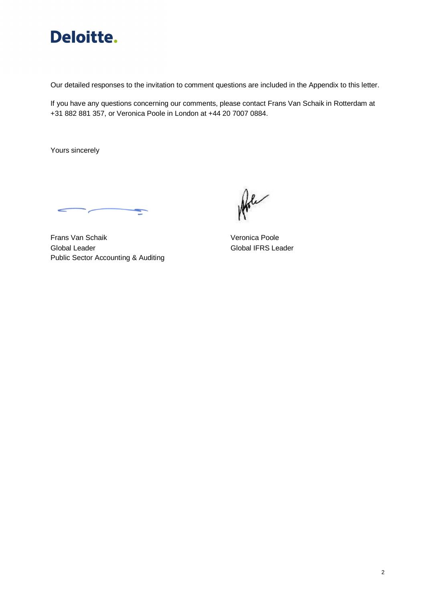

Our detailed responses to the invitation to comment questions are included in the Appendix to this letter.

If you have any questions concerning our comments, please contact Frans Van Schaik in Rotterdam at +31 882 881 357, or Veronica Poole in London at +44 20 7007 0884.

Yours sincerely

Frans Van Schaik Veronica Poole Global Leader Global IFRS Leader Public Sector Accounting & Auditing

Arle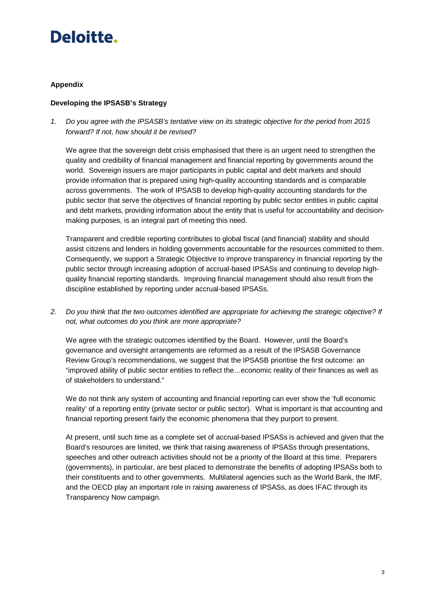### **Appendix**

### **Developing the IPSASB's Strategy**

1. Do you agree with the IPSASB's tentative view on its strategic objective for the period from 2015 forward? If not, how should it be revised?

We agree that the sovereign debt crisis emphasised that there is an urgent need to strengthen the quality and credibility of financial management and financial reporting by governments around the world. Sovereign issuers are major participants in public capital and debt markets and should provide information that is prepared using high-quality accounting standards and is comparable across governments. The work of IPSASB to develop high-quality accounting standards for the public sector that serve the objectives of financial reporting by public sector entities in public capital and debt markets, providing information about the entity that is useful for accountability and decisionmaking purposes, is an integral part of meeting this need.

Transparent and credible reporting contributes to global fiscal (and financial) stability and should assist citizens and lenders in holding governments accountable for the resources committed to them. Consequently, we support a Strategic Objective to improve transparency in financial reporting by the public sector through increasing adoption of accrual-based IPSASs and continuing to develop highquality financial reporting standards. Improving financial management should also result from the discipline established by reporting under accrual-based IPSASs.

2. Do you think that the two outcomes identified are appropriate for achieving the strategic objective? If not, what outcomes do you think are more appropriate?

We agree with the strategic outcomes identified by the Board. However, until the Board's governance and oversight arrangements are reformed as a result of the IPSASB Governance Review Group's recommendations, we suggest that the IPSASB prioritise the first outcome: an "improved ability of public sector entities to reflect the…economic reality of their finances as well as of stakeholders to understand."

We do not think any system of accounting and financial reporting can ever show the 'full economic reality' of a reporting entity (private sector or public sector). What is important is that accounting and financial reporting present fairly the economic phenomena that they purport to present.

At present, until such time as a complete set of accrual-based IPSASs is achieved and given that the Board's resources are limited, we think that raising awareness of IPSASs through presentations, speeches and other outreach activities should not be a priority of the Board at this time. Preparers (governments), in particular, are best placed to demonstrate the benefits of adopting IPSASs both to their constituents and to other governments. Multilateral agencies such as the World Bank, the IMF, and the OECD play an important role in raising awareness of IPSASs, as does IFAC through its Transparency Now campaign.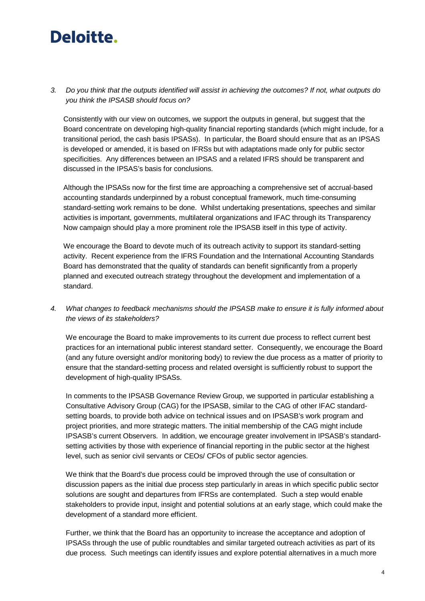3. Do you think that the outputs identified will assist in achieving the outcomes? If not, what outputs do you think the IPSASB should focus on?

Consistently with our view on outcomes, we support the outputs in general, but suggest that the Board concentrate on developing high-quality financial reporting standards (which might include, for a transitional period, the cash basis IPSASs). In particular, the Board should ensure that as an IPSAS is developed or amended, it is based on IFRSs but with adaptations made only for public sector specificities. Any differences between an IPSAS and a related IFRS should be transparent and discussed in the IPSAS's basis for conclusions.

Although the IPSASs now for the first time are approaching a comprehensive set of accrual-based accounting standards underpinned by a robust conceptual framework, much time-consuming standard-setting work remains to be done. Whilst undertaking presentations, speeches and similar activities is important, governments, multilateral organizations and IFAC through its Transparency Now campaign should play a more prominent role the IPSASB itself in this type of activity.

We encourage the Board to devote much of its outreach activity to support its standard-setting activity. Recent experience from the IFRS Foundation and the International Accounting Standards Board has demonstrated that the quality of standards can benefit significantly from a properly planned and executed outreach strategy throughout the development and implementation of a standard.

4. What changes to feedback mechanisms should the IPSASB make to ensure it is fully informed about the views of its stakeholders?

We encourage the Board to make improvements to its current due process to reflect current best practices for an international public interest standard setter. Consequently, we encourage the Board (and any future oversight and/or monitoring body) to review the due process as a matter of priority to ensure that the standard-setting process and related oversight is sufficiently robust to support the development of high-quality IPSASs.

In comments to the IPSASB Governance Review Group, we supported in particular establishing a Consultative Advisory Group (CAG) for the IPSASB, similar to the CAG of other IFAC standardsetting boards, to provide both advice on technical issues and on IPSASB's work program and project priorities, and more strategic matters. The initial membership of the CAG might include IPSASB's current Observers. In addition, we encourage greater involvement in IPSASB's standardsetting activities by those with experience of financial reporting in the public sector at the highest level, such as senior civil servants or CEOs/ CFOs of public sector agencies.

We think that the Board's due process could be improved through the use of consultation or discussion papers as the initial due process step particularly in areas in which specific public sector solutions are sought and departures from IFRSs are contemplated. Such a step would enable stakeholders to provide input, insight and potential solutions at an early stage, which could make the development of a standard more efficient.

Further, we think that the Board has an opportunity to increase the acceptance and adoption of IPSASs through the use of public roundtables and similar targeted outreach activities as part of its due process. Such meetings can identify issues and explore potential alternatives in a much more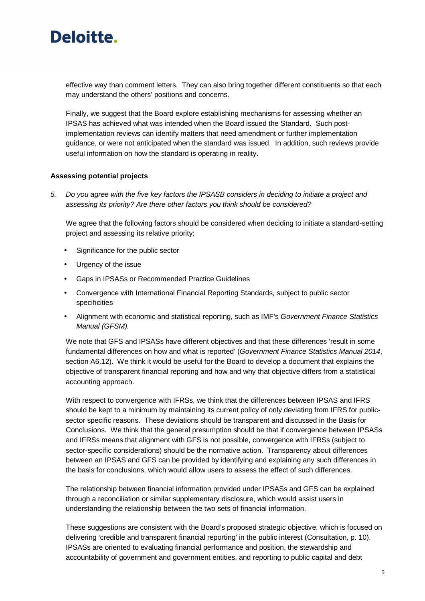

effective way than comment letters. They can also bring together different constituents so that each may understand the others' positions and concerns.

Finally, we suggest that the Board explore establishing mechanisms for assessing whether an IPSAS has achieved what was intended when the Board issued the Standard. Such postimplementation reviews can identify matters that need amendment or further implementation guidance, or were not anticipated when the standard was issued. In addition, such reviews provide useful information on how the standard is operating in reality.

#### **Assessing potential projects**

5. Do you agree with the five key factors the IPSASB considers in deciding to initiate a project and assessing its priority? Are there other factors you think should be considered?

We agree that the following factors should be considered when deciding to initiate a standard-setting project and assessing its relative priority:

- Significance for the public sector
- Urgency of the issue
- Gaps in IPSASs or Recommended Practice Guidelines
- Convergence with International Financial Reporting Standards, subject to public sector specificities
- Alignment with economic and statistical reporting, such as IMF's Government Finance Statistics Manual (GFSM).

We note that GFS and IPSASs have different objectives and that these differences 'result in some fundamental differences on how and what is reported' (Government Finance Statistics Manual 2014, section A6.12). We think it would be useful for the Board to develop a document that explains the objective of transparent financial reporting and how and why that objective differs from a statistical accounting approach.

With respect to convergence with IFRSs, we think that the differences between IPSAS and IFRS should be kept to a minimum by maintaining its current policy of only deviating from IFRS for publicsector specific reasons. These deviations should be transparent and discussed in the Basis for Conclusions. We think that the general presumption should be that if convergence between IPSASs and IFRSs means that alignment with GFS is not possible, convergence with IFRSs (subject to sector-specific considerations) should be the normative action. Transparency about differences between an IPSAS and GFS can be provided by identifying and explaining any such differences in the basis for conclusions, which would allow users to assess the effect of such differences.

The relationship between financial information provided under IPSASs and GFS can be explained through a reconciliation or similar supplementary disclosure, which would assist users in understanding the relationship between the two sets of financial information.

These suggestions are consistent with the Board's proposed strategic objective, which is focused on delivering 'credible and transparent financial reporting' in the public interest (Consultation, p. 10). IPSASs are oriented to evaluating financial performance and position, the stewardship and accountability of government and government entities, and reporting to public capital and debt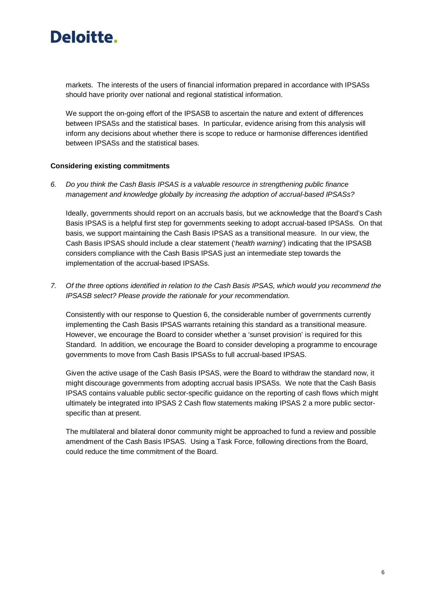

markets. The interests of the users of financial information prepared in accordance with IPSASs should have priority over national and regional statistical information.

We support the on-going effort of the IPSASB to ascertain the nature and extent of differences between IPSASs and the statistical bases. In particular, evidence arising from this analysis will inform any decisions about whether there is scope to reduce or harmonise differences identified between IPSASs and the statistical bases.

#### **Considering existing commitments**

6. Do you think the Cash Basis IPSAS is a valuable resource in strengthening public finance management and knowledge globally by increasing the adoption of accrual-based IPSASs?

Ideally, governments should report on an accruals basis, but we acknowledge that the Board's Cash Basis IPSAS is a helpful first step for governments seeking to adopt accrual-based IPSASs. On that basis, we support maintaining the Cash Basis IPSAS as a transitional measure. In our view, the Cash Basis IPSAS should include a clear statement ('health warning') indicating that the IPSASB considers compliance with the Cash Basis IPSAS just an intermediate step towards the implementation of the accrual-based IPSASs.

7. Of the three options identified in relation to the Cash Basis IPSAS, which would you recommend the IPSASB select? Please provide the rationale for your recommendation.

Consistently with our response to Question 6, the considerable number of governments currently implementing the Cash Basis IPSAS warrants retaining this standard as a transitional measure. However, we encourage the Board to consider whether a 'sunset provision' is required for this Standard. In addition, we encourage the Board to consider developing a programme to encourage governments to move from Cash Basis IPSASs to full accrual-based IPSAS.

Given the active usage of the Cash Basis IPSAS, were the Board to withdraw the standard now, it might discourage governments from adopting accrual basis IPSASs. We note that the Cash Basis IPSAS contains valuable public sector-specific guidance on the reporting of cash flows which might ultimately be integrated into IPSAS 2 Cash flow statements making IPSAS 2 a more public sectorspecific than at present.

The multilateral and bilateral donor community might be approached to fund a review and possible amendment of the Cash Basis IPSAS. Using a Task Force, following directions from the Board, could reduce the time commitment of the Board.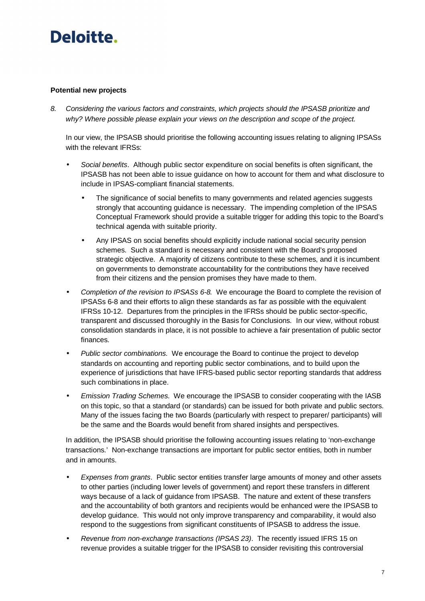## **Potential new projects**

8. Considering the various factors and constraints, which projects should the IPSASB prioritize and why? Where possible please explain your views on the description and scope of the project.

In our view, the IPSASB should prioritise the following accounting issues relating to aligning IPSASs with the relevant **IFRSs**:

- Social benefits. Although public sector expenditure on social benefits is often significant, the IPSASB has not been able to issue guidance on how to account for them and what disclosure to include in IPSAS-compliant financial statements.
	- The significance of social benefits to many governments and related agencies suggests strongly that accounting guidance is necessary. The impending completion of the IPSAS Conceptual Framework should provide a suitable trigger for adding this topic to the Board's technical agenda with suitable priority.
	- Any IPSAS on social benefits should explicitly include national social security pension schemes. Such a standard is necessary and consistent with the Board's proposed strategic objective. A majority of citizens contribute to these schemes, and it is incumbent on governments to demonstrate accountability for the contributions they have received from their citizens and the pension promises they have made to them.
- Completion of the revision to IPSASs 6-8. We encourage the Board to complete the revision of IPSASs 6-8 and their efforts to align these standards as far as possible with the equivalent IFRSs 10-12. Departures from the principles in the IFRSs should be public sector-specific, transparent and discussed thoroughly in the Basis for Conclusions. In our view, without robust consolidation standards in place, it is not possible to achieve a fair presentation of public sector finances.
- Public sector combinations. We encourage the Board to continue the project to develop standards on accounting and reporting public sector combinations, and to build upon the experience of jurisdictions that have IFRS-based public sector reporting standards that address such combinations in place.
- Emission Trading Schemes. We encourage the IPSASB to consider cooperating with the IASB on this topic, so that a standard (or standards) can be issued for both private and public sectors. Many of the issues facing the two Boards (particularly with respect to preparer/ participants) will be the same and the Boards would benefit from shared insights and perspectives.

In addition, the IPSASB should prioritise the following accounting issues relating to 'non-exchange transactions.' Non-exchange transactions are important for public sector entities, both in number and in amounts.

- Expenses from grants. Public sector entities transfer large amounts of money and other assets to other parties (including lower levels of government) and report these transfers in different ways because of a lack of guidance from IPSASB. The nature and extent of these transfers and the accountability of both grantors and recipients would be enhanced were the IPSASB to develop guidance. This would not only improve transparency and comparability, it would also respond to the suggestions from significant constituents of IPSASB to address the issue.
- Revenue from non-exchange transactions (IPSAS 23). The recently issued IFRS 15 on revenue provides a suitable trigger for the IPSASB to consider revisiting this controversial